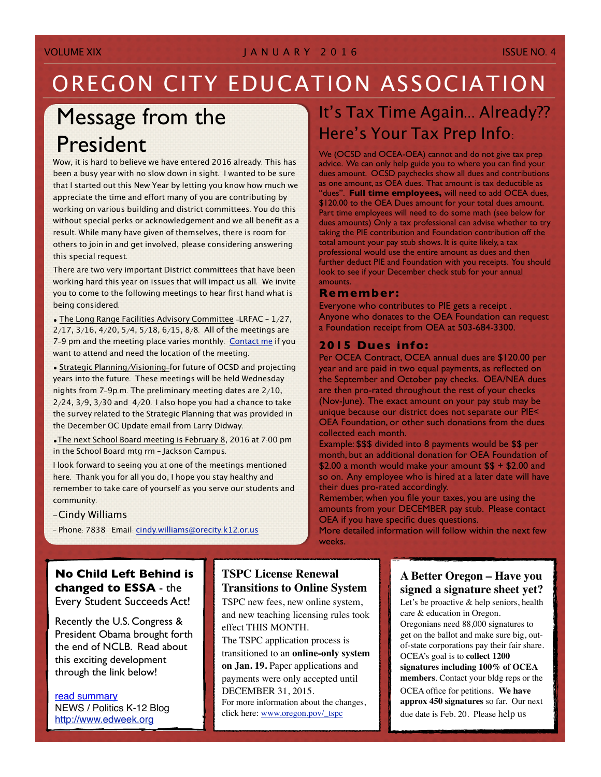## OREGON CITY EDUCATION ASSOCIATION

# Message from the President

Wow, it is hard to believe we have entered 2016 already. This has been a busy year with no slow down in sight. I wanted to be sure that I started out this New Year by letting you know how much we appreciate the time and effort many of you are contributing by working on various building and district committees. You do this without special perks or acknowledgement and we all benefit as a result. While many have given of themselves, there is room for others to join in and get involved, please considering answering this special request.

There are two very important District committees that have been working hard this year on issues that will impact us all. We invite you to come to the following meetings to hear first hand what is being considered.

• The Long Range Facilities Advisory Committee -LRFAC – 1/27, 2/17, 3/16, 4/20, 5/4, 5/18, 6/15, 8/8. All of the meetings are 7-9 pm and the meeting place varies monthly. [Contact](mailto:cindy.williams@orecity.k12.or.us?subject=OCEA:%20I%20want%20to%20attend%20planning%20meeting) me if you want to attend and need the location of the meeting.

• Strategic Planning/Visioning-for future of OCSD and projecting years into the future. These meetings will be held Wednesday nights from 7-9p.m. The preliminary meeting dates are 2/10,  $2/24$ ,  $3/9$ ,  $3/30$  and  $4/20$ . I also hope you had a chance to take the survey related to the Strategic Planning that was provided in the December OC Update email from Larry Didway.

•The next School Board meeting is February 8, 2016 at 7:00 pm in the School Board mtg rm – Jackson Campus.

I look forward to seeing you at one of the meetings mentioned here. Thank you for all you do, I hope you stay healthy and remember to take care of yourself as you serve our students and community.

- -Cindy Williams
- Phone: 7838 Email: cindy.[williams@orecity](mailto:cindy.williams@orecity.k.12.or.us?subject=OCEA%20Ques).k12.or.us

## It's Tax Time Again... Already?? Here's Your Tax Prep Info:

We (OCSD and OCEA-OEA) cannot and do not give tax prep advice. We can only help guide you to where you can find your dues amount. OCSD paychecks show all dues and contributions as one amount, as OEA dues. That amount is tax deductible as "dues". **Full time employees,** will need to add OCEA dues, \$120.00 to the OEA Dues amount for your total dues amount. Part time employees will need to do some math (see below for dues amounts) Only a tax professional can advise whether to try taking the PIE contribution and Foundation contribution off the total amount your pay stub shows. It is quite likely, a tax professional would use the entire amount as dues and then further deduct PIE and Foundation with you receipts. You should look to see if your December check stub for your annual amounts.

#### **Remember:**

Everyone who contributes to PIE gets a receipt . Anyone who donates to the OEA Foundation can request a Foundation receipt from OEA at 503-684-3300.

#### **2015 Dues info:**

Per OCEA Contract, OCEA annual dues are \$120.00 per year and are paid in two equal payments, as reflected on the September and October pay checks. OEA/NEA dues are then pro-rated throughout the rest of your checks (Nov-June). The exact amount on your pay stub may be unique because our district does not separate our PIE< OEA Foundation, or other such donations from the dues collected each month.

Example: \$\$\$ divided into 8 payments would be \$\$ per month, but an additional donation for OEA Foundation of  $$2.00$  a month would make your amount  $$5 + $2.00$  and so on. Any employee who is hired at a later date will have their dues pro-rated accordingly.

Remember, when you file your taxes, you are using the amounts from your DECEMBER pay stub. Please contact OEA if you have specific dues questions.

More detailed information will follow within the next few weeks.

**No Child Left Behind is changed to ESSA** - the Every Student Succeeds Act!

Recently the U.S. Congress & President Obama brought forth the end of NCLB. Read about this exciting development through the link below!

[read summary](http://www.gbeaonline.org/ESSA%20Explained.pdf) NEWS / Politics K-12 Blog <http://www.edweek.org>

### **TSPC License Renewal Transitions to Online System**

TSPC new fees, new online system, and new teaching licensing rules took effect THIS MONTH.

The TSPC application process is transitioned to an **online-only system on Jan. 19.** Paper applications and payments were only accepted until DECEMBER 31, 2015. For more information about the changes,

click here: [www.oregon.pov/\\_tspc](http://www.oregon.pov/_tspc)

### **A Better Oregon – Have you signed a signature sheet yet?**

Let's be proactive & help seniors, health care & education in Oregon. Oregonians need 88,000 signatures to get on the ballot and make sure big, outof-state corporations pay their fair share. OCEA's goal is to **collect 1200 signatures** i**ncluding 100% of OCEA members**. Contact your bldg reps or the OCEA office for petitions. **We have approx 450 signatures** so far. Our next due date is Feb. 20. Please help us